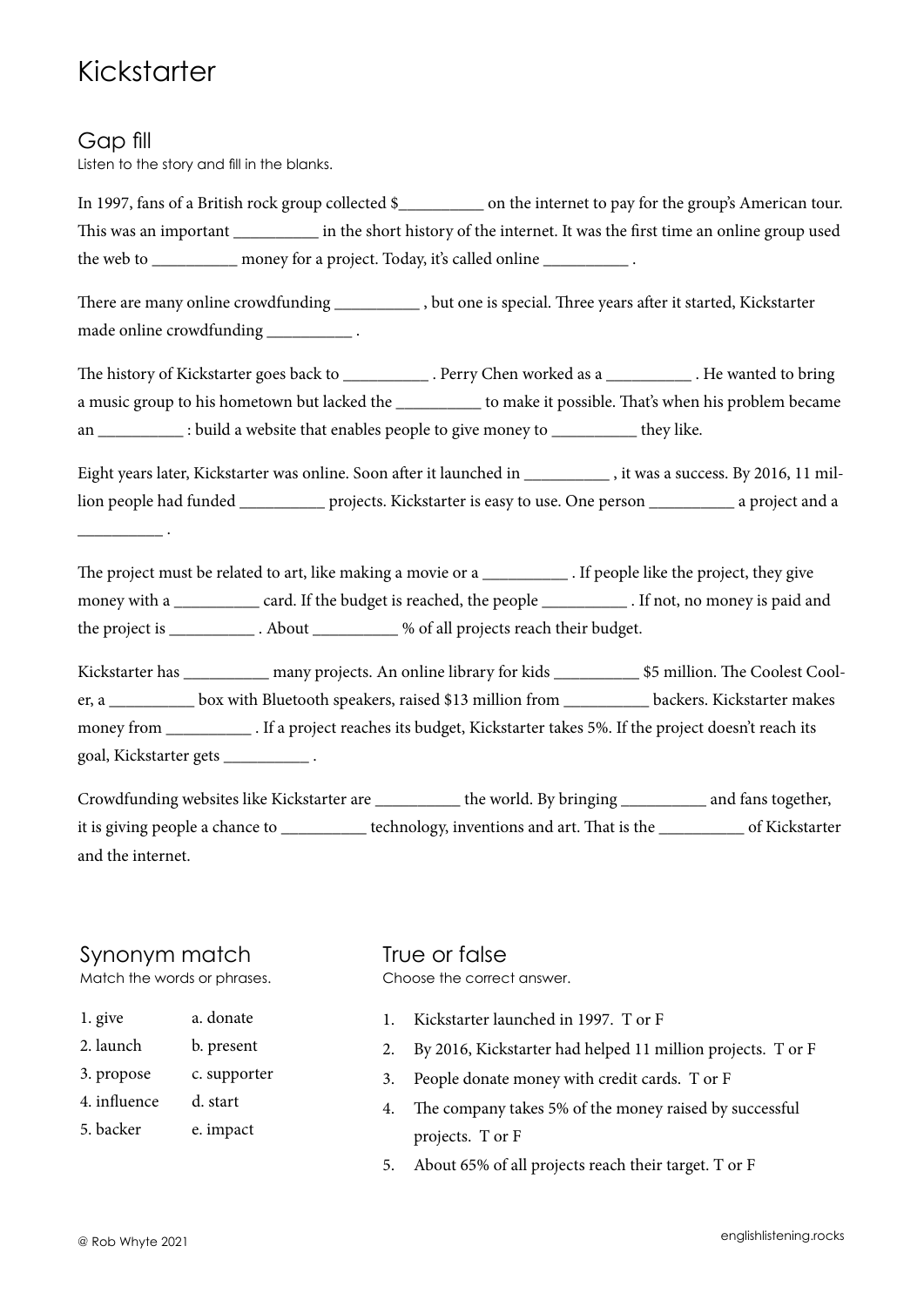# Kickstarter

### Gap fill

 $\overline{\phantom{a}}$  .

Listen to the story and fill in the blanks.

In 1997, fans of a British rock group collected \$ on the internet to pay for the group's American tour. This was an important in the short history of the internet. It was the first time an online group used the web to money for a project. Today, it's called online

There are many online crowdfunding \_\_\_\_\_\_\_\_\_\_ , but one is special. Three years after it started, Kickstarter made online crowdfunding \_\_\_\_\_\_\_\_\_\_\_\_\_\_\_\_.

The history of Kickstarter goes back to \_\_\_\_\_\_\_\_\_\_\_\_\_. Perry Chen worked as a \_\_\_\_\_\_\_\_\_\_\_\_\_. He wanted to bring a music group to his hometown but lacked the \_\_\_\_\_\_\_\_\_\_\_ to make it possible. That's when his problem became an \_\_\_\_\_\_\_\_\_\_\_\_ : build a website that enables people to give money to \_\_\_\_\_\_\_\_\_\_\_\_ they like.

Eight years later, Kickstarter was online. Soon after it launched in \_\_\_\_\_\_\_\_\_\_\_, it was a success. By 2016, 11 million people had funded \_\_\_\_\_\_\_\_\_\_ projects. Kickstarter is easy to use. One person \_\_\_\_\_\_\_\_\_\_ a project and a

The project must be related to art, like making a movie or a \_\_\_\_\_\_\_\_\_\_\_\_. If people like the project, they give money with a \_\_\_\_\_\_\_\_\_\_ card. If the budget is reached, the people \_\_\_\_\_\_\_\_\_\_ . If not, no money is paid and the project is \_\_\_\_\_\_\_\_\_\_ . About \_\_\_\_\_\_\_\_\_\_ % of all projects reach their budget.

Kickstarter has **many projects. An online library for kids**  $$5$  million. The Coolest Cooler, a \_\_\_\_\_\_\_\_\_\_ box with Bluetooth speakers, raised \$13 million from \_\_\_\_\_\_\_\_\_\_ backers. Kickstarter makes money from \_\_\_\_\_\_\_\_\_\_ . If a project reaches its budget, Kickstarter takes 5%. If the project doesn't reach its goal, Kickstarter gets \_\_\_\_\_\_\_\_\_\_ .

Crowdfunding websites like Kickstarter are \_\_\_\_\_\_\_\_\_\_ the world. By bringing \_\_\_\_\_\_\_\_\_\_ and fans together, it is giving people a chance to \_\_\_\_\_\_\_\_\_\_ technology, inventions and art. That is the \_\_\_\_\_\_\_\_\_\_ of Kickstarter and the internet.

### Synonym match

Match the words or phrases.

- 1. give a. donate
- 2. launch b. present
- 3. propose c. supporter
- 4. influence d. start

5. backer e. impact

True or false Choose the correct answer.

- 1. Kickstarter launched in 1997. T or F
- 2. By 2016, Kickstarter had helped 11 million projects. T or F
- 3. People donate money with credit cards. T or F
- 4. The company takes 5% of the money raised by successful projects. T or F
- 5. About 65% of all projects reach their target. T or F